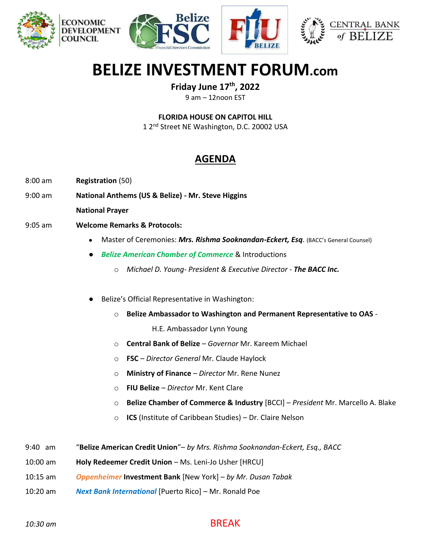





# **BELIZE INVESTMENT FORUM.com**

**Friday June 17th, 2022**

9 am – 12noon EST

**FLORIDA HOUSE ON CAPITOL HILL**

1 2<sup>nd</sup> Street NE Washington, D.C. 20002 USA

## **AGENDA**

- 8:00 am **Registration** (50)
- 9:00 am **National Anthems (US & Belize) - Mr. Steve Higgins**

**National Prayer**

- 9:05 am **Welcome Remarks & Protocols:**
	- Master of Ceremonies: *Mrs. Rishma Sooknandan-Eckert, Esq*. (BACC's General Counsel)
	- *Belize American Chamber of Commerce* & Introductions
		- o *Michael D. Young- President & Executive Director - The BACC Inc.*
	- Belize's Official Representative in Washington:
		- o **Belize Ambassador to Washington and Permanent Representative to OAS** -

H.E. Ambassador Lynn Young

- o **Central Bank of Belize** *Governor* Mr. Kareem Michael
- o **FSC** *Director General* Mr. Claude Haylock
- o **Ministry of Finance**  *Director* Mr. Rene Nunez
- o **FIU Belize** *Director* Mr. Kent Clare
- o **Belize Chamber of Commerce & Industry** [BCCI] *President* Mr. Marcello A. Blake
- o **ICS** (Institute of Caribbean Studies) Dr. Claire Nelson
- 9:40 am "**Belize American Credit Union**"– *by Mrs. Rishma Sooknandan-Eckert, Esq., BACC*
- 10:00 am **Holy Redeemer Credit Union** Ms. Leni-Jo Usher [HRCU]
- 10:15 am *Oppenheimer* **Investment Bank** [New York] *by Mr. Dusan Tabak*
- 10:20 am *Next Bank International* [Puerto Rico] Mr. Ronald Poe

#### *10:30 am* BREAK